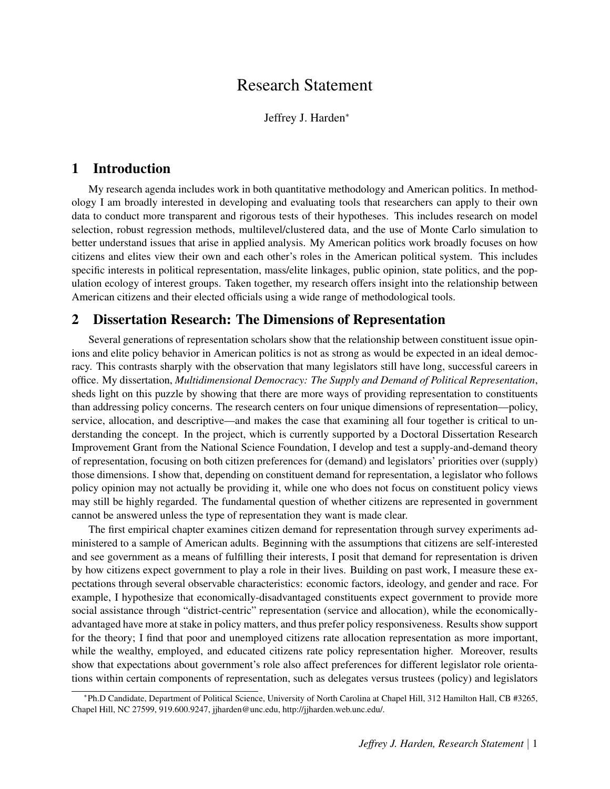# Research Statement

Jeffrey J. Harden<sup>∗</sup>

## 1 Introduction

My research agenda includes work in both quantitative methodology and American politics. In methodology I am broadly interested in developing and evaluating tools that researchers can apply to their own data to conduct more transparent and rigorous tests of their hypotheses. This includes research on model selection, robust regression methods, multilevel/clustered data, and the use of Monte Carlo simulation to better understand issues that arise in applied analysis. My American politics work broadly focuses on how citizens and elites view their own and each other's roles in the American political system. This includes specific interests in political representation, mass/elite linkages, public opinion, state politics, and the population ecology of interest groups. Taken together, my research offers insight into the relationship between American citizens and their elected officials using a wide range of methodological tools.

## 2 Dissertation Research: The Dimensions of Representation

Several generations of representation scholars show that the relationship between constituent issue opinions and elite policy behavior in American politics is not as strong as would be expected in an ideal democracy. This contrasts sharply with the observation that many legislators still have long, successful careers in office. My dissertation, *Multidimensional Democracy: The Supply and Demand of Political Representation*, sheds light on this puzzle by showing that there are more ways of providing representation to constituents than addressing policy concerns. The research centers on four unique dimensions of representation—policy, service, allocation, and descriptive—and makes the case that examining all four together is critical to understanding the concept. In the project, which is currently supported by a Doctoral Dissertation Research Improvement Grant from the National Science Foundation, I develop and test a supply-and-demand theory of representation, focusing on both citizen preferences for (demand) and legislators' priorities over (supply) those dimensions. I show that, depending on constituent demand for representation, a legislator who follows policy opinion may not actually be providing it, while one who does not focus on constituent policy views may still be highly regarded. The fundamental question of whether citizens are represented in government cannot be answered unless the type of representation they want is made clear.

The first empirical chapter examines citizen demand for representation through survey experiments administered to a sample of American adults. Beginning with the assumptions that citizens are self-interested and see government as a means of fulfilling their interests, I posit that demand for representation is driven by how citizens expect government to play a role in their lives. Building on past work, I measure these expectations through several observable characteristics: economic factors, ideology, and gender and race. For example, I hypothesize that economically-disadvantaged constituents expect government to provide more social assistance through "district-centric" representation (service and allocation), while the economicallyadvantaged have more at stake in policy matters, and thus prefer policy responsiveness. Results show support for the theory; I find that poor and unemployed citizens rate allocation representation as more important, while the wealthy, employed, and educated citizens rate policy representation higher. Moreover, results show that expectations about government's role also affect preferences for different legislator role orientations within certain components of representation, such as delegates versus trustees (policy) and legislators

<sup>∗</sup> Ph.D Candidate, Department of Political Science, University of North Carolina at Chapel Hill, 312 Hamilton Hall, CB #3265, Chapel Hill, NC 27599, 919.600.9247, jjharden@unc.edu, http://jjharden.web.unc.edu/.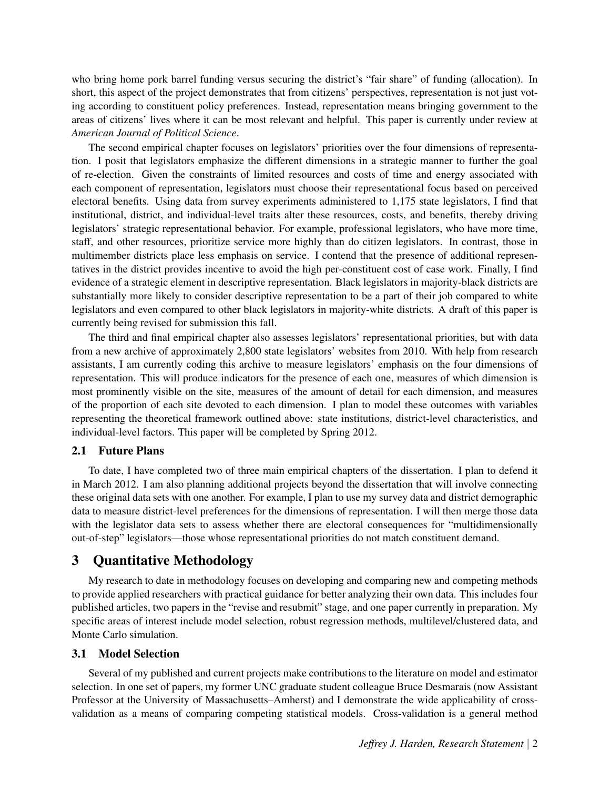who bring home pork barrel funding versus securing the district's "fair share" of funding (allocation). In short, this aspect of the project demonstrates that from citizens' perspectives, representation is not just voting according to constituent policy preferences. Instead, representation means bringing government to the areas of citizens' lives where it can be most relevant and helpful. This paper is currently under review at *American Journal of Political Science*.

The second empirical chapter focuses on legislators' priorities over the four dimensions of representation. I posit that legislators emphasize the different dimensions in a strategic manner to further the goal of re-election. Given the constraints of limited resources and costs of time and energy associated with each component of representation, legislators must choose their representational focus based on perceived electoral benefits. Using data from survey experiments administered to 1,175 state legislators, I find that institutional, district, and individual-level traits alter these resources, costs, and benefits, thereby driving legislators' strategic representational behavior. For example, professional legislators, who have more time, staff, and other resources, prioritize service more highly than do citizen legislators. In contrast, those in multimember districts place less emphasis on service. I contend that the presence of additional representatives in the district provides incentive to avoid the high per-constituent cost of case work. Finally, I find evidence of a strategic element in descriptive representation. Black legislators in majority-black districts are substantially more likely to consider descriptive representation to be a part of their job compared to white legislators and even compared to other black legislators in majority-white districts. A draft of this paper is currently being revised for submission this fall.

The third and final empirical chapter also assesses legislators' representational priorities, but with data from a new archive of approximately 2,800 state legislators' websites from 2010. With help from research assistants, I am currently coding this archive to measure legislators' emphasis on the four dimensions of representation. This will produce indicators for the presence of each one, measures of which dimension is most prominently visible on the site, measures of the amount of detail for each dimension, and measures of the proportion of each site devoted to each dimension. I plan to model these outcomes with variables representing the theoretical framework outlined above: state institutions, district-level characteristics, and individual-level factors. This paper will be completed by Spring 2012.

### 2.1 Future Plans

To date, I have completed two of three main empirical chapters of the dissertation. I plan to defend it in March 2012. I am also planning additional projects beyond the dissertation that will involve connecting these original data sets with one another. For example, I plan to use my survey data and district demographic data to measure district-level preferences for the dimensions of representation. I will then merge those data with the legislator data sets to assess whether there are electoral consequences for "multidimensionally out-of-step" legislators—those whose representational priorities do not match constituent demand.

## 3 Quantitative Methodology

My research to date in methodology focuses on developing and comparing new and competing methods to provide applied researchers with practical guidance for better analyzing their own data. This includes four published articles, two papers in the "revise and resubmit" stage, and one paper currently in preparation. My specific areas of interest include model selection, robust regression methods, multilevel/clustered data, and Monte Carlo simulation.

## 3.1 Model Selection

Several of my published and current projects make contributions to the literature on model and estimator selection. In one set of papers, my former UNC graduate student colleague Bruce Desmarais (now Assistant Professor at the University of Massachusetts–Amherst) and I demonstrate the wide applicability of crossvalidation as a means of comparing competing statistical models. Cross-validation is a general method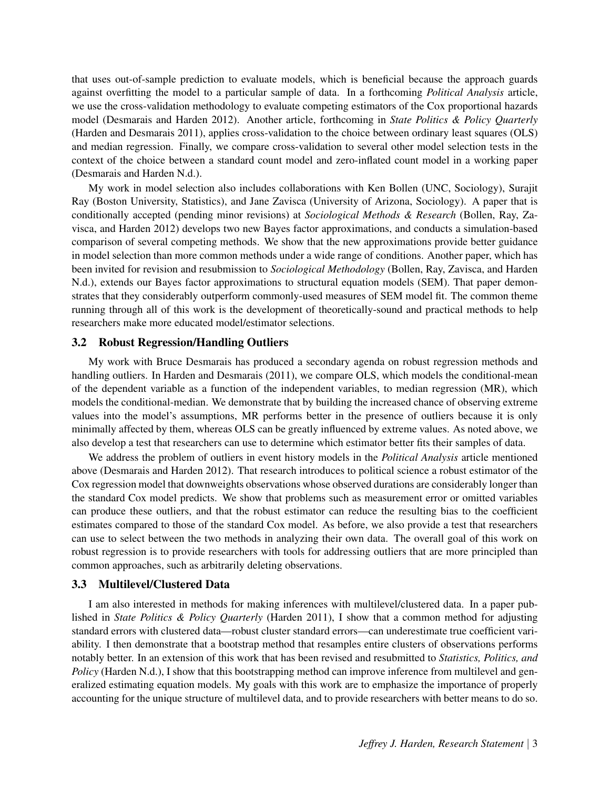that uses out-of-sample prediction to evaluate models, which is beneficial because the approach guards against overfitting the model to a particular sample of data. In a forthcoming *Political Analysis* article, we use the cross-validation methodology to evaluate competing estimators of the Cox proportional hazards model (Desmarais and Harden 2012). Another article, forthcoming in *State Politics & Policy Quarterly* (Harden and Desmarais 2011), applies cross-validation to the choice between ordinary least squares (OLS) and median regression. Finally, we compare cross-validation to several other model selection tests in the context of the choice between a standard count model and zero-inflated count model in a working paper (Desmarais and Harden N.d.).

My work in model selection also includes collaborations with Ken Bollen (UNC, Sociology), Surajit Ray (Boston University, Statistics), and Jane Zavisca (University of Arizona, Sociology). A paper that is conditionally accepted (pending minor revisions) at *Sociological Methods & Research* (Bollen, Ray, Zavisca, and Harden 2012) develops two new Bayes factor approximations, and conducts a simulation-based comparison of several competing methods. We show that the new approximations provide better guidance in model selection than more common methods under a wide range of conditions. Another paper, which has been invited for revision and resubmission to *Sociological Methodology* (Bollen, Ray, Zavisca, and Harden N.d.), extends our Bayes factor approximations to structural equation models (SEM). That paper demonstrates that they considerably outperform commonly-used measures of SEM model fit. The common theme running through all of this work is the development of theoretically-sound and practical methods to help researchers make more educated model/estimator selections.

## 3.2 Robust Regression/Handling Outliers

My work with Bruce Desmarais has produced a secondary agenda on robust regression methods and handling outliers. In Harden and Desmarais (2011), we compare OLS, which models the conditional-mean of the dependent variable as a function of the independent variables, to median regression (MR), which models the conditional-median. We demonstrate that by building the increased chance of observing extreme values into the model's assumptions, MR performs better in the presence of outliers because it is only minimally affected by them, whereas OLS can be greatly influenced by extreme values. As noted above, we also develop a test that researchers can use to determine which estimator better fits their samples of data.

We address the problem of outliers in event history models in the *Political Analysis* article mentioned above (Desmarais and Harden 2012). That research introduces to political science a robust estimator of the Cox regression model that downweights observations whose observed durations are considerably longer than the standard Cox model predicts. We show that problems such as measurement error or omitted variables can produce these outliers, and that the robust estimator can reduce the resulting bias to the coefficient estimates compared to those of the standard Cox model. As before, we also provide a test that researchers can use to select between the two methods in analyzing their own data. The overall goal of this work on robust regression is to provide researchers with tools for addressing outliers that are more principled than common approaches, such as arbitrarily deleting observations.

#### 3.3 Multilevel/Clustered Data

I am also interested in methods for making inferences with multilevel/clustered data. In a paper published in *State Politics & Policy Quarterly* (Harden 2011), I show that a common method for adjusting standard errors with clustered data—robust cluster standard errors—can underestimate true coefficient variability. I then demonstrate that a bootstrap method that resamples entire clusters of observations performs notably better. In an extension of this work that has been revised and resubmitted to *Statistics, Politics, and Policy* (Harden N.d.), I show that this bootstrapping method can improve inference from multilevel and generalized estimating equation models. My goals with this work are to emphasize the importance of properly accounting for the unique structure of multilevel data, and to provide researchers with better means to do so.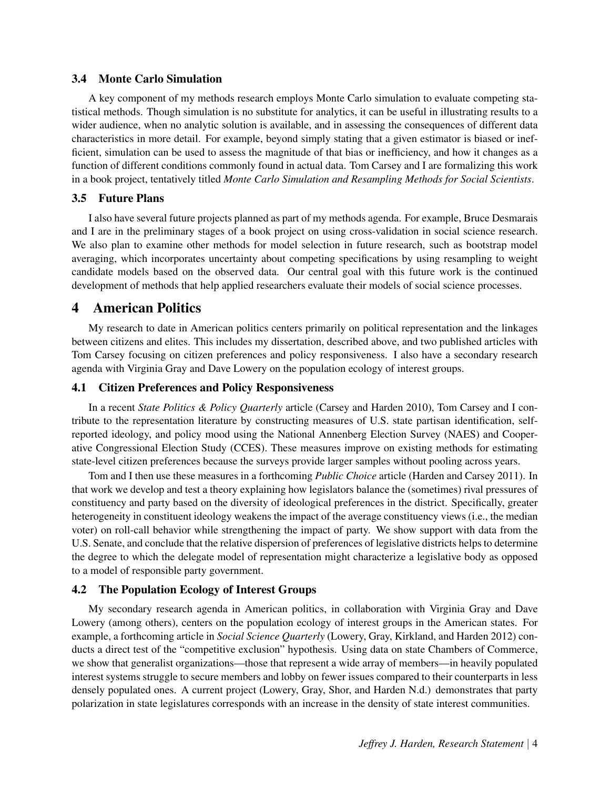#### 3.4 Monte Carlo Simulation

A key component of my methods research employs Monte Carlo simulation to evaluate competing statistical methods. Though simulation is no substitute for analytics, it can be useful in illustrating results to a wider audience, when no analytic solution is available, and in assessing the consequences of different data characteristics in more detail. For example, beyond simply stating that a given estimator is biased or inefficient, simulation can be used to assess the magnitude of that bias or inefficiency, and how it changes as a function of different conditions commonly found in actual data. Tom Carsey and I are formalizing this work in a book project, tentatively titled *Monte Carlo Simulation and Resampling Methods for Social Scientists*.

## 3.5 Future Plans

I also have several future projects planned as part of my methods agenda. For example, Bruce Desmarais and I are in the preliminary stages of a book project on using cross-validation in social science research. We also plan to examine other methods for model selection in future research, such as bootstrap model averaging, which incorporates uncertainty about competing specifications by using resampling to weight candidate models based on the observed data. Our central goal with this future work is the continued development of methods that help applied researchers evaluate their models of social science processes.

## 4 American Politics

My research to date in American politics centers primarily on political representation and the linkages between citizens and elites. This includes my dissertation, described above, and two published articles with Tom Carsey focusing on citizen preferences and policy responsiveness. I also have a secondary research agenda with Virginia Gray and Dave Lowery on the population ecology of interest groups.

#### 4.1 Citizen Preferences and Policy Responsiveness

In a recent *State Politics & Policy Quarterly* article (Carsey and Harden 2010), Tom Carsey and I contribute to the representation literature by constructing measures of U.S. state partisan identification, selfreported ideology, and policy mood using the National Annenberg Election Survey (NAES) and Cooperative Congressional Election Study (CCES). These measures improve on existing methods for estimating state-level citizen preferences because the surveys provide larger samples without pooling across years.

Tom and I then use these measures in a forthcoming *Public Choice* article (Harden and Carsey 2011). In that work we develop and test a theory explaining how legislators balance the (sometimes) rival pressures of constituency and party based on the diversity of ideological preferences in the district. Specifically, greater heterogeneity in constituent ideology weakens the impact of the average constituency views (i.e., the median voter) on roll-call behavior while strengthening the impact of party. We show support with data from the U.S. Senate, and conclude that the relative dispersion of preferences of legislative districts helps to determine the degree to which the delegate model of representation might characterize a legislative body as opposed to a model of responsible party government.

### 4.2 The Population Ecology of Interest Groups

My secondary research agenda in American politics, in collaboration with Virginia Gray and Dave Lowery (among others), centers on the population ecology of interest groups in the American states. For example, a forthcoming article in *Social Science Quarterly* (Lowery, Gray, Kirkland, and Harden 2012) conducts a direct test of the "competitive exclusion" hypothesis. Using data on state Chambers of Commerce, we show that generalist organizations—those that represent a wide array of members—in heavily populated interest systems struggle to secure members and lobby on fewer issues compared to their counterparts in less densely populated ones. A current project (Lowery, Gray, Shor, and Harden N.d.) demonstrates that party polarization in state legislatures corresponds with an increase in the density of state interest communities.